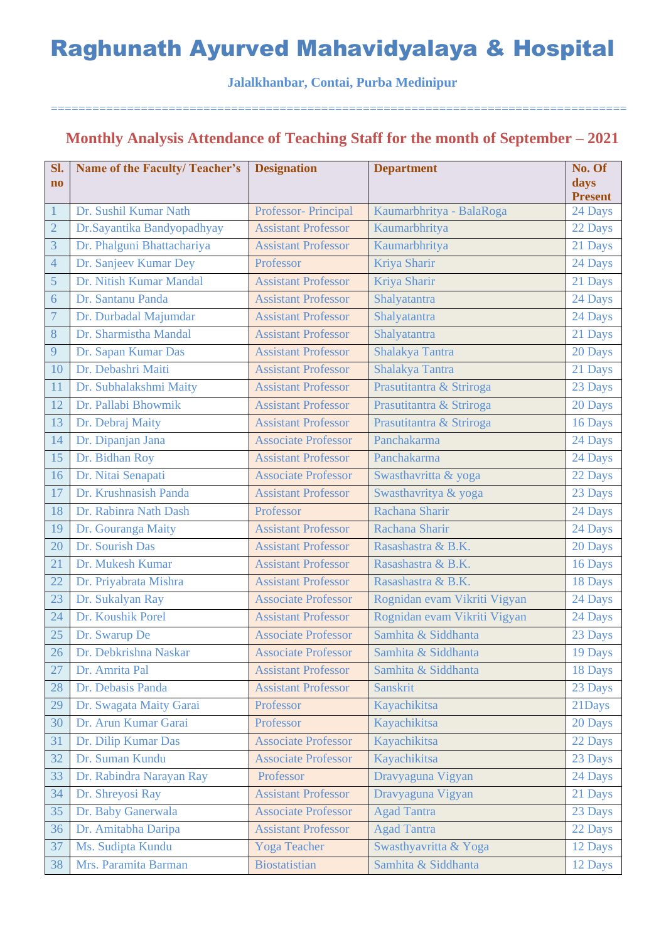**Jalalkhanbar, Contai, Purba Medinipur**

===================================================================================

### **Monthly Analysis Attendance of Teaching Staff for the month of September – 2021**

| Sl.<br>$\bf{no}$ | <b>Name of the Faculty/Teacher's</b> | <b>Designation</b>         | <b>Department</b>            | No. Of<br>days<br><b>Present</b> |
|------------------|--------------------------------------|----------------------------|------------------------------|----------------------------------|
| 1                | Dr. Sushil Kumar Nath                | Professor- Principal       | Kaumarbhritya - BalaRoga     | 24 Days                          |
| $\overline{2}$   | Dr.Sayantika Bandyopadhyay           | <b>Assistant Professor</b> | Kaumarbhritya                | 22 Days                          |
| 3                | Dr. Phalguni Bhattachariya           | <b>Assistant Professor</b> | Kaumarbhritya                | 21 Days                          |
| $\overline{4}$   | Dr. Sanjeev Kumar Dey                | Professor                  | Kriya Sharir                 | 24 Days                          |
| $\overline{5}$   | Dr. Nitish Kumar Mandal              | <b>Assistant Professor</b> | Kriya Sharir                 | 21 Days                          |
| 6                | Dr. Santanu Panda                    | <b>Assistant Professor</b> | Shalyatantra                 | 24 Days                          |
| $\boldsymbol{7}$ | Dr. Durbadal Majumdar                | <b>Assistant Professor</b> | Shalyatantra                 | 24 Days                          |
| 8                | Dr. Sharmistha Mandal                | <b>Assistant Professor</b> | Shalyatantra                 | 21 Days                          |
| 9                | Dr. Sapan Kumar Das                  | <b>Assistant Professor</b> | Shalakya Tantra              | 20 Days                          |
| 10               | Dr. Debashri Maiti                   | <b>Assistant Professor</b> | Shalakya Tantra              | 21 Days                          |
| 11               | Dr. Subhalakshmi Maity               | <b>Assistant Professor</b> | Prasutitantra & Striroga     | 23 Days                          |
| 12               | Dr. Pallabi Bhowmik                  | <b>Assistant Professor</b> | Prasutitantra & Striroga     | 20 Days                          |
| 13               | Dr. Debraj Maity                     | <b>Assistant Professor</b> | Prasutitantra & Striroga     | 16 Days                          |
| 14               | Dr. Dipanjan Jana                    | <b>Associate Professor</b> | Panchakarma                  | 24 Days                          |
| 15               | Dr. Bidhan Roy                       | <b>Assistant Professor</b> | Panchakarma                  | 24 Days                          |
| 16               | Dr. Nitai Senapati                   | <b>Associate Professor</b> | Swasthavritta & yoga         | 22 Days                          |
| 17               | Dr. Krushnasish Panda                | <b>Assistant Professor</b> | Swasthavritya & yoga         | 23 Days                          |
| 18               | Dr. Rabinra Nath Dash                | Professor                  | Rachana Sharir               | 24 Days                          |
| 19               | Dr. Gouranga Maity                   | <b>Assistant Professor</b> | Rachana Sharir               | 24 Days                          |
| 20               | Dr. Sourish Das                      | <b>Assistant Professor</b> | Rasashastra & B.K.           | 20 Days                          |
| 21               | Dr. Mukesh Kumar                     | <b>Assistant Professor</b> | Rasashastra & B.K.           | 16 Days                          |
| 22               | Dr. Priyabrata Mishra                | <b>Assistant Professor</b> | Rasashastra & B.K.           | 18 Days                          |
| 23               | Dr. Sukalyan Ray                     | <b>Associate Professor</b> | Rognidan evam Vikriti Vigyan | 24 Days                          |
| 24               | Dr. Koushik Porel                    | <b>Assistant Professor</b> | Rognidan evam Vikriti Vigyan | 24 Days                          |
| 25               | Dr. Swarup De                        | <b>Associate Professor</b> | Samhita & Siddhanta          | 23 Days                          |
| 26               | Dr. Debkrishna Naskar                | <b>Associate Professor</b> | Samhita & Siddhanta          | 19 Days                          |
| 27               | Dr. Amrita Pal                       | <b>Assistant Professor</b> | Samhita & Siddhanta          | 18 Days                          |
| 28               | Dr. Debasis Panda                    | <b>Assistant Professor</b> | Sanskrit                     | 23 Days                          |
| 29               | Dr. Swagata Maity Garai              | Professor                  | Kayachikitsa                 | 21Days                           |
| 30               | Dr. Arun Kumar Garai                 | Professor                  | Kayachikitsa                 | 20 Days                          |
| 31               | Dr. Dilip Kumar Das                  | <b>Associate Professor</b> | Kayachikitsa                 | 22 Days                          |
| 32               | Dr. Suman Kundu                      | <b>Associate Professor</b> | Kayachikitsa                 | 23 Days                          |
| 33               | Dr. Rabindra Narayan Ray             | Professor                  | Dravyaguna Vigyan            | 24 Days                          |
| 34               | Dr. Shreyosi Ray                     | <b>Assistant Professor</b> | Dravyaguna Vigyan            | 21 Days                          |
| 35               | Dr. Baby Ganerwala                   | <b>Associate Professor</b> | <b>Agad Tantra</b>           | 23 Days                          |
| 36               | Dr. Amitabha Daripa                  | <b>Assistant Professor</b> | <b>Agad Tantra</b>           | 22 Days                          |
| 37               | Ms. Sudipta Kundu                    | Yoga Teacher               | Swasthyavritta & Yoga        | 12 Days                          |
| 38               | Mrs. Paramita Barman                 | <b>Biostatistian</b>       | Samhita & Siddhanta          | 12 Days                          |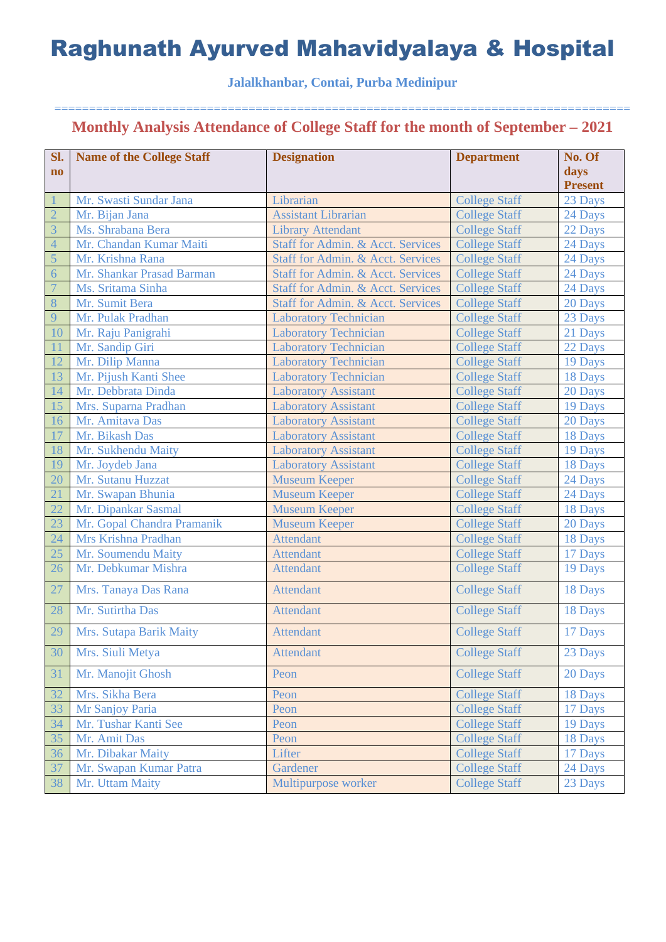### **Jalalkhanbar, Contai, Purba Medinipur**

| Sl.                    | <b>Name of the College Staff</b> | <b>Designation</b>                | <b>Department</b>    | No. Of         |
|------------------------|----------------------------------|-----------------------------------|----------------------|----------------|
| $\mathbf{n}\mathbf{o}$ |                                  |                                   |                      | days           |
|                        |                                  |                                   |                      | <b>Present</b> |
|                        | Mr. Swasti Sundar Jana           | Librarian                         | <b>College Staff</b> | 23 Days        |
| $\overline{2}$         | Mr. Bijan Jana                   | <b>Assistant Librarian</b>        | <b>College Staff</b> | 24 Days        |
| $\overline{3}$         | Ms. Shrabana Bera                | <b>Library Attendant</b>          | <b>College Staff</b> | 22 Days        |
| $\overline{4}$         | Mr. Chandan Kumar Maiti          | Staff for Admin. & Acct. Services | <b>College Staff</b> | 24 Days        |
| 5                      | Mr. Krishna Rana                 | Staff for Admin. & Acct. Services | <b>College Staff</b> | 24 Days        |
| 6                      | Mr. Shankar Prasad Barman        | Staff for Admin. & Acct. Services | <b>College Staff</b> | 24 Days        |
| $\overline{7}$         | Ms. Sritama Sinha                | Staff for Admin. & Acct. Services | <b>College Staff</b> | 24 Days        |
| 8                      | Mr. Sumit Bera                   | Staff for Admin. & Acct. Services | <b>College Staff</b> | 20 Days        |
| 9                      | Mr. Pulak Pradhan                | <b>Laboratory Technician</b>      | <b>College Staff</b> | 23 Days        |
| 10                     | Mr. Raju Panigrahi               | <b>Laboratory Technician</b>      | <b>College Staff</b> | 21 Days        |
| 11                     | Mr. Sandip Giri                  | <b>Laboratory Technician</b>      | <b>College Staff</b> | 22 Days        |
| 12                     | Mr. Dilip Manna                  | <b>Laboratory Technician</b>      | <b>College Staff</b> | 19 Days        |
| 13                     | Mr. Pijush Kanti Shee            | <b>Laboratory Technician</b>      | <b>College Staff</b> | 18 Days        |
| 14                     | Mr. Debbrata Dinda               | <b>Laboratory Assistant</b>       | <b>College Staff</b> | 20 Days        |
| 15                     | Mrs. Suparna Pradhan             | <b>Laboratory Assistant</b>       | <b>College Staff</b> | 19 Days        |
| 16                     | Mr. Amitava Das                  | <b>Laboratory Assistant</b>       | <b>College Staff</b> | 20 Days        |
| 17                     | Mr. Bikash Das                   | <b>Laboratory Assistant</b>       | <b>College Staff</b> | 18 Days        |
| 18                     | Mr. Sukhendu Maity               | <b>Laboratory Assistant</b>       | <b>College Staff</b> | 19 Days        |
| 19                     | Mr. Joydeb Jana                  | <b>Laboratory Assistant</b>       | <b>College Staff</b> | 18 Days        |
| 20                     | Mr. Sutanu Huzzat                | <b>Museum Keeper</b>              | <b>College Staff</b> | 24 Days        |
| 21                     | Mr. Swapan Bhunia                | <b>Museum Keeper</b>              | <b>College Staff</b> | 24 Days        |
| 22                     | Mr. Dipankar Sasmal              | <b>Museum Keeper</b>              | <b>College Staff</b> | 18 Days        |
| 23                     | Mr. Gopal Chandra Pramanik       | <b>Museum Keeper</b>              | <b>College Staff</b> | 20 Days        |
| 24                     | Mrs Krishna Pradhan              | <b>Attendant</b>                  | <b>College Staff</b> | 18 Days        |
| 25                     | Mr. Soumendu Maity               | <b>Attendant</b>                  | <b>College Staff</b> | 17 Days        |
| 26                     | Mr. Debkumar Mishra              | <b>Attendant</b>                  | <b>College Staff</b> | 19 Days        |
| 27                     | Mrs. Tanaya Das Rana             | <b>Attendant</b>                  | <b>College Staff</b> | 18 Days        |
| 28                     | Mr. Sutirtha Das                 | <b>Attendant</b>                  | <b>College Staff</b> | 18 Days        |
| 29                     | Mrs. Sutapa Barik Maity          | <b>Attendant</b>                  | <b>College Staff</b> | 17 Days        |
| 30                     | Mrs. Siuli Metya                 | <b>Attendant</b>                  | <b>College Staff</b> | 23 Days        |
| 31                     | Mr. Manojit Ghosh                | Peon                              | <b>College Staff</b> | 20 Days        |
| 32                     | Mrs. Sikha Bera                  | Peon                              | <b>College Staff</b> | 18 Days        |
| 33                     | Mr Sanjoy Paria                  | Peon                              | <b>College Staff</b> | 17 Days        |
| 34                     | Mr. Tushar Kanti See             | Peon                              | <b>College Staff</b> | 19 Days        |
| 35                     | Mr. Amit Das                     | Peon                              | <b>College Staff</b> | 18 Days        |
| 36                     | Mr. Dibakar Maity                | Lifter                            | <b>College Staff</b> | 17 Days        |
| 37                     | Mr. Swapan Kumar Patra           | Gardener                          | <b>College Staff</b> | 24 Days        |
| 38                     | Mr. Uttam Maity                  | Multipurpose worker               | <b>College Staff</b> | 23 Days        |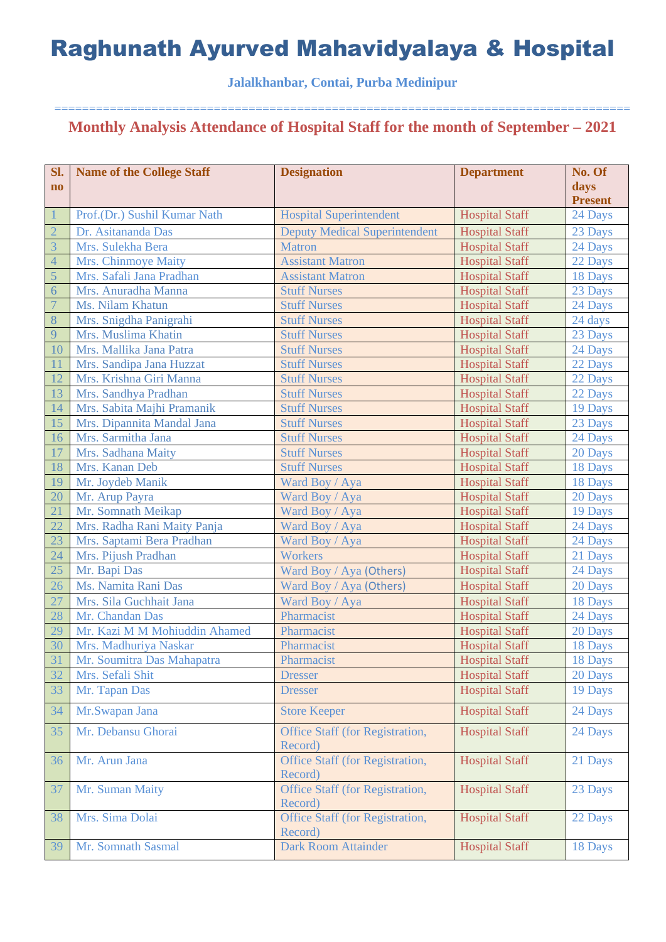### **Jalalkhanbar, Contai, Purba Medinipur**

| Sl.                    | <b>Name of the College Staff</b> | <b>Designation</b>                         | <b>Department</b>     | No. Of         |
|------------------------|----------------------------------|--------------------------------------------|-----------------------|----------------|
| $\mathbf{n}\mathbf{o}$ |                                  |                                            |                       | days           |
|                        |                                  |                                            |                       | <b>Present</b> |
| $\mathbf{1}$           | Prof.(Dr.) Sushil Kumar Nath     | <b>Hospital Superintendent</b>             | <b>Hospital Staff</b> | 24 Days        |
| $\overline{2}$         | Dr. Asitananda Das               | <b>Deputy Medical Superintendent</b>       | <b>Hospital Staff</b> | 23 Days        |
| $\overline{3}$         | Mrs. Sulekha Bera                | <b>Matron</b>                              | <b>Hospital Staff</b> | 24 Days        |
| $\overline{4}$         | Mrs. Chinmoye Maity              | <b>Assistant Matron</b>                    | <b>Hospital Staff</b> | 22 Days        |
| 5                      | Mrs. Safali Jana Pradhan         | <b>Assistant Matron</b>                    | <b>Hospital Staff</b> | 18 Days        |
| $\overline{6}$         | Mrs. Anuradha Manna              | <b>Stuff Nurses</b>                        | <b>Hospital Staff</b> | 23 Days        |
| $\overline{7}$         | Ms. Nilam Khatun                 | <b>Stuff Nurses</b>                        | <b>Hospital Staff</b> | 24 Days        |
| $8\phantom{1}$         | Mrs. Snigdha Panigrahi           | <b>Stuff Nurses</b>                        | <b>Hospital Staff</b> | 24 days        |
| 9                      | Mrs. Muslima Khatin              | <b>Stuff Nurses</b>                        | <b>Hospital Staff</b> | 23 Days        |
| 10                     | Mrs. Mallika Jana Patra          | <b>Stuff Nurses</b>                        | <b>Hospital Staff</b> | 24 Days        |
| 11                     | Mrs. Sandipa Jana Huzzat         | <b>Stuff Nurses</b>                        | <b>Hospital Staff</b> | 22 Days        |
| 12                     | Mrs. Krishna Giri Manna          | <b>Stuff Nurses</b>                        | <b>Hospital Staff</b> | 22 Days        |
| 13                     | Mrs. Sandhya Pradhan             | <b>Stuff Nurses</b>                        | <b>Hospital Staff</b> | 22 Days        |
| 14                     | Mrs. Sabita Majhi Pramanik       | <b>Stuff Nurses</b>                        | <b>Hospital Staff</b> | 19 Days        |
| 15                     | Mrs. Dipannita Mandal Jana       | <b>Stuff Nurses</b>                        | <b>Hospital Staff</b> | 23 Days        |
| 16                     | Mrs. Sarmitha Jana               | <b>Stuff Nurses</b>                        | <b>Hospital Staff</b> | 24 Days        |
| 17                     | Mrs. Sadhana Maity               | <b>Stuff Nurses</b>                        | <b>Hospital Staff</b> | 20 Days        |
| 18                     | Mrs. Kanan Deb                   | <b>Stuff Nurses</b>                        | <b>Hospital Staff</b> | 18 Days        |
| 19                     | Mr. Joydeb Manik                 | Ward Boy / Aya                             | <b>Hospital Staff</b> | 18 Days        |
| 20                     | Mr. Arup Payra                   | Ward Boy / Aya                             | <b>Hospital Staff</b> | 20 Days        |
| 21                     | Mr. Somnath Meikap               | Ward Boy / Aya                             | <b>Hospital Staff</b> | 19 Days        |
| 22                     | Mrs. Radha Rani Maity Panja      | Ward Boy / Aya                             | <b>Hospital Staff</b> | 24 Days        |
| 23                     | Mrs. Saptami Bera Pradhan        | Ward Boy / Aya                             | <b>Hospital Staff</b> | 24 Days        |
| 24                     | Mrs. Pijush Pradhan              | <b>Workers</b>                             | <b>Hospital Staff</b> | 21 Days        |
| 25                     | Mr. Bapi Das                     | Ward Boy / Aya (Others)                    | <b>Hospital Staff</b> | 24 Days        |
| 26                     | Ms. Namita Rani Das              | Ward Boy / Aya (Others)                    | <b>Hospital Staff</b> | 20 Days        |
| 27                     | Mrs. Sila Guchhait Jana          | Ward Boy / Aya                             | <b>Hospital Staff</b> | 18 Days        |
| 28                     | Mr. Chandan Das                  | Pharmacist                                 | <b>Hospital Staff</b> | 24 Days        |
| 29                     | Mr. Kazi M M Mohiuddin Ahamed    | Pharmacist                                 | <b>Hospital Staff</b> | 20 Days        |
| 30                     | Mrs. Madhuriya Naskar            | Pharmacist                                 | <b>Hospital Staff</b> | 18 Days        |
| 31                     | Mr. Soumitra Das Mahapatra       | Pharmacist                                 | <b>Hospital Staff</b> | 18 Days        |
| 32                     | Mrs. Sefali Shit                 | <b>Dresser</b>                             | <b>Hospital Staff</b> | 20 Days        |
| 33                     | Mr. Tapan Das                    | <b>Dresser</b>                             | <b>Hospital Staff</b> | 19 Days        |
| 34                     | Mr.Swapan Jana                   | <b>Store Keeper</b>                        | <b>Hospital Staff</b> | 24 Days        |
| 35                     | Mr. Debansu Ghorai               | Office Staff (for Registration,            | <b>Hospital Staff</b> | 24 Days        |
|                        |                                  | Record)                                    |                       |                |
| 36                     | Mr. Arun Jana                    | Office Staff (for Registration,<br>Record) | <b>Hospital Staff</b> | 21 Days        |
| 37                     | Mr. Suman Maity                  | Office Staff (for Registration,<br>Record) | <b>Hospital Staff</b> | 23 Days        |
| 38                     | Mrs. Sima Dolai                  | Office Staff (for Registration,<br>Record) | <b>Hospital Staff</b> | 22 Days        |
| 39                     | Mr. Somnath Sasmal               | <b>Dark Room Attainder</b>                 | <b>Hospital Staff</b> | 18 Days        |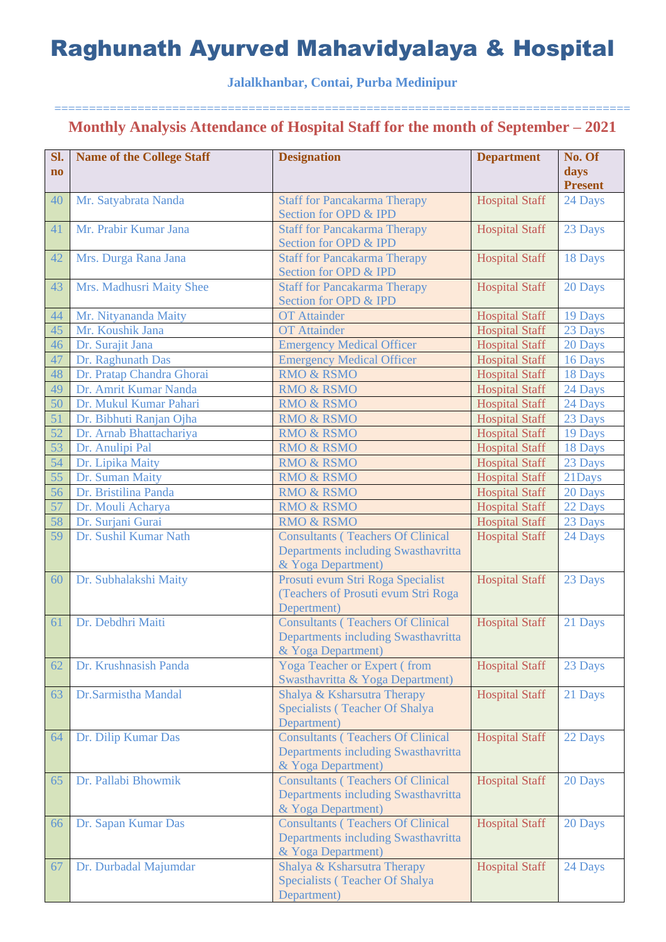### **Jalalkhanbar, Contai, Purba Medinipur**

| Sl.<br>$\mathbf{no}$ | <b>Name of the College Staff</b> | <b>Designation</b>                                                                                    | <b>Department</b>     | No. Of<br>days<br><b>Present</b> |
|----------------------|----------------------------------|-------------------------------------------------------------------------------------------------------|-----------------------|----------------------------------|
| 40                   | Mr. Satyabrata Nanda             | <b>Staff for Pancakarma Therapy</b><br>Section for OPD & IPD                                          | <b>Hospital Staff</b> | 24 Days                          |
| 41                   | Mr. Prabir Kumar Jana            | <b>Staff for Pancakarma Therapy</b><br>Section for OPD & IPD                                          | <b>Hospital Staff</b> | 23 Days                          |
| 42                   | Mrs. Durga Rana Jana             | <b>Staff for Pancakarma Therapy</b><br>Section for OPD & IPD                                          | <b>Hospital Staff</b> | 18 Days                          |
| 43                   | Mrs. Madhusri Maity Shee         | <b>Staff for Pancakarma Therapy</b><br>Section for OPD & IPD                                          | <b>Hospital Staff</b> | 20 Days                          |
| 44                   | Mr. Nityananda Maity             | <b>OT</b> Attainder                                                                                   | <b>Hospital Staff</b> | 19 Days                          |
| 45                   | Mr. Koushik Jana                 | <b>OT</b> Attainder                                                                                   | <b>Hospital Staff</b> | 23 Days                          |
| 46                   | Dr. Surajit Jana                 | <b>Emergency Medical Officer</b>                                                                      | <b>Hospital Staff</b> | 20 Days                          |
| 47                   | Dr. Raghunath Das                | <b>Emergency Medical Officer</b>                                                                      | <b>Hospital Staff</b> | 16 Days                          |
| 48                   | Dr. Pratap Chandra Ghorai        | <b>RMO &amp; RSMO</b>                                                                                 | <b>Hospital Staff</b> | 18 Days                          |
| 49                   | Dr. Amrit Kumar Nanda            | <b>RMO &amp; RSMO</b>                                                                                 | <b>Hospital Staff</b> | 24 Days                          |
| 50                   | Dr. Mukul Kumar Pahari           | <b>RMO &amp; RSMO</b>                                                                                 | <b>Hospital Staff</b> | 24 Days                          |
| 51                   | Dr. Bibhuti Ranjan Ojha          | <b>RMO &amp; RSMO</b>                                                                                 | <b>Hospital Staff</b> | 23 Days                          |
| $\overline{52}$      | Dr. Arnab Bhattachariya          | <b>RMO &amp; RSMO</b>                                                                                 | <b>Hospital Staff</b> | 19 Days                          |
| 53                   | Dr. Anulipi Pal                  | <b>RMO &amp; RSMO</b>                                                                                 | <b>Hospital Staff</b> | 18 Days                          |
| 54                   | Dr. Lipika Maity                 | <b>RMO &amp; RSMO</b>                                                                                 | <b>Hospital Staff</b> | 23 Days                          |
| 55                   | Dr. Suman Maity                  | <b>RMO &amp; RSMO</b>                                                                                 | <b>Hospital Staff</b> | 21Days                           |
| 56                   | Dr. Bristilina Panda             | <b>RMO &amp; RSMO</b>                                                                                 | <b>Hospital Staff</b> | 20 Days                          |
| 57                   | Dr. Mouli Acharya                | <b>RMO &amp; RSMO</b>                                                                                 | <b>Hospital Staff</b> | 22 Days                          |
| 58                   | Dr. Surjani Gurai                | <b>RMO &amp; RSMO</b>                                                                                 | <b>Hospital Staff</b> | 23 Days                          |
| 59                   | Dr. Sushil Kumar Nath            | <b>Consultants (Teachers Of Clinical</b><br>Departments including Swasthavritta<br>& Yoga Department) | <b>Hospital Staff</b> | 24 Days                          |
| 60                   | Dr. Subhalakshi Maity            | Prosuti evum Stri Roga Specialist<br>(Teachers of Prosuti evum Stri Roga<br>Depertment)               | <b>Hospital Staff</b> | 23 Days                          |
| 61                   | Dr. Debdhri Maiti                | <b>Consultants (Teachers Of Clinical</b><br>Departments including Swasthavritta<br>& Yoga Department) | <b>Hospital Staff</b> | 21 Days                          |
| 62                   | Dr. Krushnasish Panda            | <b>Yoga Teacher or Expert (from</b><br>Swasthavritta & Yoga Department)                               | <b>Hospital Staff</b> | 23 Days                          |
| 63                   | Dr.Sarmistha Mandal              | Shalya & Ksharsutra Therapy<br>Specialists (Teacher Of Shalya<br>Department)                          | <b>Hospital Staff</b> | 21 Days                          |
| 64                   | Dr. Dilip Kumar Das              | <b>Consultants (Teachers Of Clinical</b><br>Departments including Swasthavritta<br>& Yoga Department) | <b>Hospital Staff</b> | 22 Days                          |
| 65                   | Dr. Pallabi Bhowmik              | <b>Consultants (Teachers Of Clinical</b><br>Departments including Swasthavritta<br>& Yoga Department) | <b>Hospital Staff</b> | 20 Days                          |
| 66                   | Dr. Sapan Kumar Das              | <b>Consultants (Teachers Of Clinical</b><br>Departments including Swasthavritta<br>& Yoga Department) | <b>Hospital Staff</b> | 20 Days                          |
| 67                   | Dr. Durbadal Majumdar            | Shalya & Ksharsutra Therapy<br>Specialists (Teacher Of Shalya<br>Department)                          | <b>Hospital Staff</b> | 24 Days                          |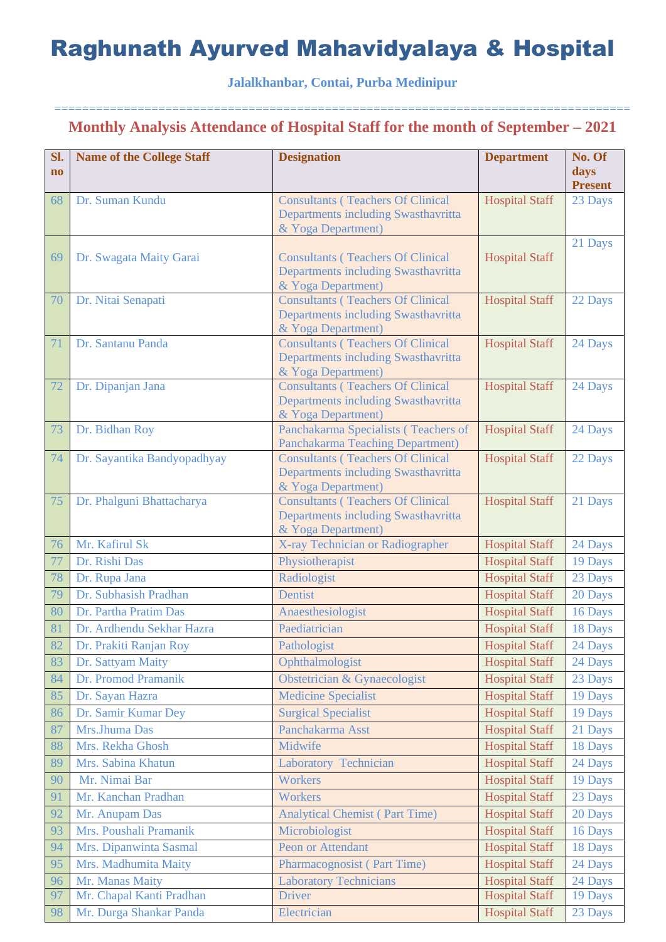### **Jalalkhanbar, Contai, Purba Medinipur**

| Sl.<br>$\mathbf{n}\mathbf{o}$ | <b>Name of the College Staff</b>        | <b>Designation</b>                                                                                    | <b>Department</b>                              | No. Of<br>days<br><b>Present</b> |
|-------------------------------|-----------------------------------------|-------------------------------------------------------------------------------------------------------|------------------------------------------------|----------------------------------|
| 68                            | Dr. Suman Kundu                         | <b>Consultants (Teachers Of Clinical</b><br>Departments including Swasthavritta<br>& Yoga Department) | <b>Hospital Staff</b>                          | 23 Days                          |
| 69                            | Dr. Swagata Maity Garai                 | <b>Consultants (Teachers Of Clinical</b><br>Departments including Swasthavritta<br>& Yoga Department) | <b>Hospital Staff</b>                          | 21 Days                          |
| 70                            | Dr. Nitai Senapati                      | <b>Consultants (Teachers Of Clinical</b><br>Departments including Swasthavritta<br>& Yoga Department) | <b>Hospital Staff</b>                          | 22 Days                          |
| 71                            | Dr. Santanu Panda                       | <b>Consultants (Teachers Of Clinical</b><br>Departments including Swasthavritta<br>& Yoga Department) | <b>Hospital Staff</b>                          | 24 Days                          |
| 72                            | Dr. Dipanjan Jana                       | <b>Consultants (Teachers Of Clinical</b><br>Departments including Swasthavritta<br>& Yoga Department) | <b>Hospital Staff</b>                          | 24 Days                          |
| 73                            | Dr. Bidhan Roy                          | Panchakarma Specialists (Teachers of<br>Panchakarma Teaching Department)                              | <b>Hospital Staff</b>                          | 24 Days                          |
| 74                            | Dr. Sayantika Bandyopadhyay             | <b>Consultants (Teachers Of Clinical</b><br>Departments including Swasthavritta<br>& Yoga Department) | <b>Hospital Staff</b>                          | 22 Days                          |
| 75                            | Dr. Phalguni Bhattacharya               | <b>Consultants (Teachers Of Clinical</b><br>Departments including Swasthavritta<br>& Yoga Department) | <b>Hospital Staff</b>                          | 21 Days                          |
| 76                            | Mr. Kafirul Sk                          | X-ray Technician or Radiographer                                                                      | <b>Hospital Staff</b>                          | 24 Days                          |
| 77                            | Dr. Rishi Das                           | Physiotherapist                                                                                       | <b>Hospital Staff</b>                          | 19 Days                          |
| 78                            | Dr. Rupa Jana                           | Radiologist                                                                                           | <b>Hospital Staff</b>                          | 23 Days                          |
| 79                            | Dr. Subhasish Pradhan                   | Dentist                                                                                               | <b>Hospital Staff</b>                          | 20 Days                          |
| 80                            | Dr. Partha Pratim Das                   | Anaesthesiologist                                                                                     | <b>Hospital Staff</b>                          | 16 Days                          |
| 81                            | Dr. Ardhendu Sekhar Hazra               | Paediatrician                                                                                         | <b>Hospital Staff</b>                          | 18 Days                          |
| 82                            | Dr. Prakiti Ranjan Roy                  | Pathologist                                                                                           | <b>Hospital Staff</b>                          | 24 Days                          |
| 83                            | Dr. Sattyam Maity                       | Ophthalmologist                                                                                       | <b>Hospital Staff</b>                          | 24 Days                          |
| 84                            | Dr. Promod Pramanik                     | Obstetrician & Gynaecologist                                                                          | <b>Hospital Staff</b>                          | 23 Days                          |
| 85                            | Dr. Sayan Hazra                         | <b>Medicine Specialist</b>                                                                            | <b>Hospital Staff</b>                          | 19 Days                          |
| 86                            | Dr. Samir Kumar Dey                     | <b>Surgical Specialist</b>                                                                            | <b>Hospital Staff</b>                          | 19 Days                          |
| 87                            | Mrs.Jhuma Das                           | Panchakarma Asst                                                                                      | <b>Hospital Staff</b>                          | 21 Days                          |
| 88                            | Mrs. Rekha Ghosh                        | Midwife                                                                                               | <b>Hospital Staff</b>                          | 18 Days                          |
| 89                            | Mrs. Sabina Khatun                      | Laboratory Technician                                                                                 | <b>Hospital Staff</b>                          | 24 Days                          |
| 90                            | Mr. Nimai Bar                           | Workers                                                                                               | <b>Hospital Staff</b>                          | 19 Days                          |
| 91                            | Mr. Kanchan Pradhan                     | <b>Workers</b>                                                                                        | <b>Hospital Staff</b>                          | 23 Days                          |
| 92                            | Mr. Anupam Das                          | <b>Analytical Chemist (Part Time)</b>                                                                 | <b>Hospital Staff</b>                          | 20 Days                          |
| 93                            | Mrs. Poushali Pramanik                  | Microbiologist                                                                                        | <b>Hospital Staff</b>                          | 16 Days                          |
| 94                            | Mrs. Dipanwinta Sasmal                  | Peon or Attendant                                                                                     | <b>Hospital Staff</b>                          | 18 Days                          |
| 95<br>96                      | Mrs. Madhumita Maity<br>Mr. Manas Maity | Pharmacognosist (Part Time)<br><b>Laboratory Technicians</b>                                          | <b>Hospital Staff</b><br><b>Hospital Staff</b> | 24 Days<br>24 Days               |
| 97                            | Mr. Chapal Kanti Pradhan                | Driver                                                                                                | <b>Hospital Staff</b>                          | 19 Days                          |
| 98                            | Mr. Durga Shankar Panda                 | Electrician                                                                                           | <b>Hospital Staff</b>                          | 23 Days                          |